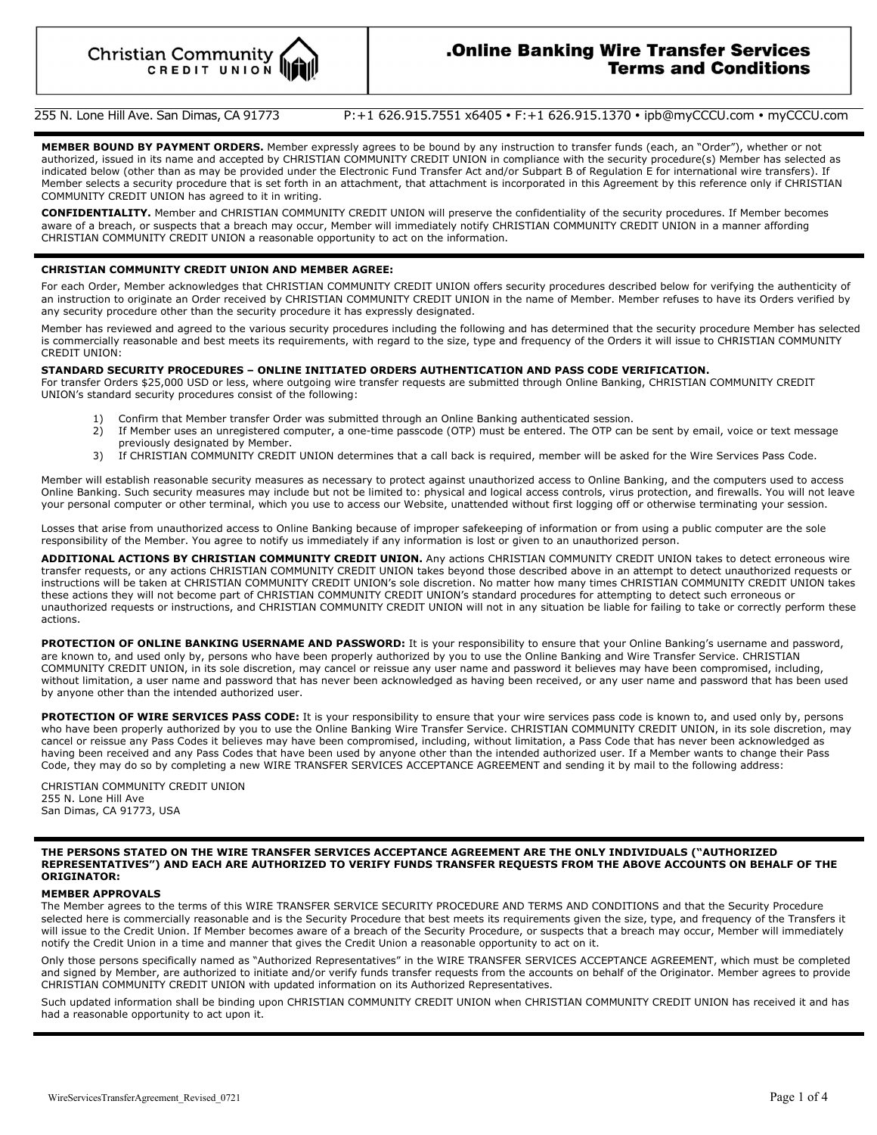# **.Online Banking Wire Transfer Services Terms and Conditions**

# 255 N. Lone Hill Ave. San Dimas, CA 91773 P: +1 626.915.7551 x6405 • F: +1 626.915.1370 • ipb@myCCCU.com • myCCCU.com

**MEMBER BOUND BY PAYMENT ORDERS.** Member expressly agrees to be bound by any instruction to transfer funds (each, an "Order"), whether or not authorized, issued in its name and accepted by CHRISTIAN COMMUNITY CREDIT UNION in compliance with the security procedure(s) Member has selected as indicated below (other than as may be provided under the Electronic Fund Transfer Act and/or Subpart B of Regulation E for international wire transfers). If Member selects a security procedure that is set forth in an attachment, that attachment is incorporated in this Agreement by this reference only if CHRISTIAN COMMUNITY CREDIT UNION has agreed to it in writing.

**CONFIDENTIALITY.** Member and CHRISTIAN COMMUNITY CREDIT UNION will preserve the confidentiality of the security procedures. If Member becomes aware of a breach, or suspects that a breach may occur, Member will immediately notify CHRISTIAN COMMUNITY CREDIT UNION in a manner affording CHRISTIAN COMMUNITY CREDIT UNION a reasonable opportunity to act on the information.

### **CHRISTIAN COMMUNITY CREDIT UNION AND MEMBER AGREE:**

For each Order, Member acknowledges that CHRISTIAN COMMUNITY CREDIT UNION offers security procedures described below for verifying the authenticity of an instruction to originate an Order received by CHRISTIAN COMMUNITY CREDIT UNION in the name of Member. Member refuses to have its Orders verified by any security procedure other than the security procedure it has expressly designated.

Member has reviewed and agreed to the various security procedures including the following and has determined that the security procedure Member has selected is commercially reasonable and best meets its requirements, with regard to the size, type and frequency of the Orders it will issue to CHRISTIAN COMMUNITY CREDIT UNION:

### **STANDARD SECURITY PROCEDURES – ONLINE INITIATED ORDERS AUTHENTICATION AND PASS CODE VERIFICATION.**

For transfer Orders \$25,000 USD or less, where outgoing wire transfer requests are submitted through Online Banking, CHRISTIAN COMMUNITY CREDIT UNION's standard security procedures consist of the following:

- 1) Confirm that Member transfer Order was submitted through an Online Banking authenticated session.
- 2) If Member uses an unregistered computer, a one-time passcode (OTP) must be entered. The OTP can be sent by email, voice or text message previously designated by Member.
- 3) If CHRISTIAN COMMUNITY CREDIT UNION determines that a call back is required, member will be asked for the Wire Services Pass Code.

Member will establish reasonable security measures as necessary to protect against unauthorized access to Online Banking, and the computers used to access Online Banking. Such security measures may include but not be limited to: physical and logical access controls, virus protection, and firewalls. You will not leave your personal computer or other terminal, which you use to access our Website, unattended without first logging off or otherwise terminating your session.

Losses that arise from unauthorized access to Online Banking because of improper safekeeping of information or from using a public computer are the sole responsibility of the Member. You agree to notify us immediately if any information is lost or given to an unauthorized person.

**ADDITIONAL ACTIONS BY CHRISTIAN COMMUNITY CREDIT UNION.** Any actions CHRISTIAN COMMUNITY CREDIT UNION takes to detect erroneous wire transfer requests, or any actions CHRISTIAN COMMUNITY CREDIT UNION takes beyond those described above in an attempt to detect unauthorized requests or instructions will be taken at CHRISTIAN COMMUNITY CREDIT UNION's sole discretion. No matter how many times CHRISTIAN COMMUNITY CREDIT UNION takes these actions they will not become part of CHRISTIAN COMMUNITY CREDIT UNION's standard procedures for attempting to detect such erroneous or unauthorized requests or instructions, and CHRISTIAN COMMUNITY CREDIT UNION will not in any situation be liable for failing to take or correctly perform these actions.

PROTECTION OF ONLINE BANKING USERNAME AND PASSWORD: It is your responsibility to ensure that your Online Banking's username and password, are known to, and used only by, persons who have been properly authorized by you to use the Online Banking and Wire Transfer Service. CHRISTIAN COMMUNITY CREDIT UNION, in its sole discretion, may cancel or reissue any user name and password it believes may have been compromised, including, without limitation, a user name and password that has never been acknowledged as having been received, or any user name and password that has been used by anyone other than the intended authorized user.

PROTECTION OF WIRE SERVICES PASS CODE: It is your responsibility to ensure that your wire services pass code is known to, and used only by, persons who have been properly authorized by you to use the Online Banking Wire Transfer Service. CHRISTIAN COMMUNITY CREDIT UNION, in its sole discretion, may cancel or reissue any Pass Codes it believes may have been compromised, including, without limitation, a Pass Code that has never been acknowledged as having been received and any Pass Codes that have been used by anyone other than the intended authorized user. If a Member wants to change their Pass Code, they may do so by completing a new WIRE TRANSFER SERVICES ACCEPTANCE AGREEMENT and sending it by mail to the following address:

CHRISTIAN COMMUNITY CREDIT UNION 255 N. Lone Hill Ave San Dimas, CA 91773, USA

#### **THE PERSONS STATED ON THE WIRE TRANSFER SERVICES ACCEPTANCE AGREEMENT ARE THE ONLY INDIVIDUALS ("AUTHORIZED REPRESENTATIVES") AND EACH ARE AUTHORIZED TO VERIFY FUNDS TRANSFER REQUESTS FROM THE ABOVE ACCOUNTS ON BEHALF OF THE ORIGINATOR:**

### **MEMBER APPROVALS**

The Member agrees to the terms of this WIRE TRANSFER SERVICE SECURITY PROCEDURE AND TERMS AND CONDITIONS and that the Security Procedure selected here is commercially reasonable and is the Security Procedure that best meets its requirements given the size, type, and frequency of the Transfers it will issue to the Credit Union. If Member becomes aware of a breach of the Security Procedure, or suspects that a breach may occur, Member will immediately notify the Credit Union in a time and manner that gives the Credit Union a reasonable opportunity to act on it.

Only those persons specifically named as "Authorized Representatives" in the WIRE TRANSFER SERVICES ACCEPTANCE AGREEMENT, which must be completed and signed by Member, are authorized to initiate and/or verify funds transfer requests from the accounts on behalf of the Originator. Member agrees to provide CHRISTIAN COMMUNITY CREDIT UNION with updated information on its Authorized Representatives.

Such updated information shall be binding upon CHRISTIAN COMMUNITY CREDIT UNION when CHRISTIAN COMMUNITY CREDIT UNION has received it and has had a reasonable opportunity to act upon it.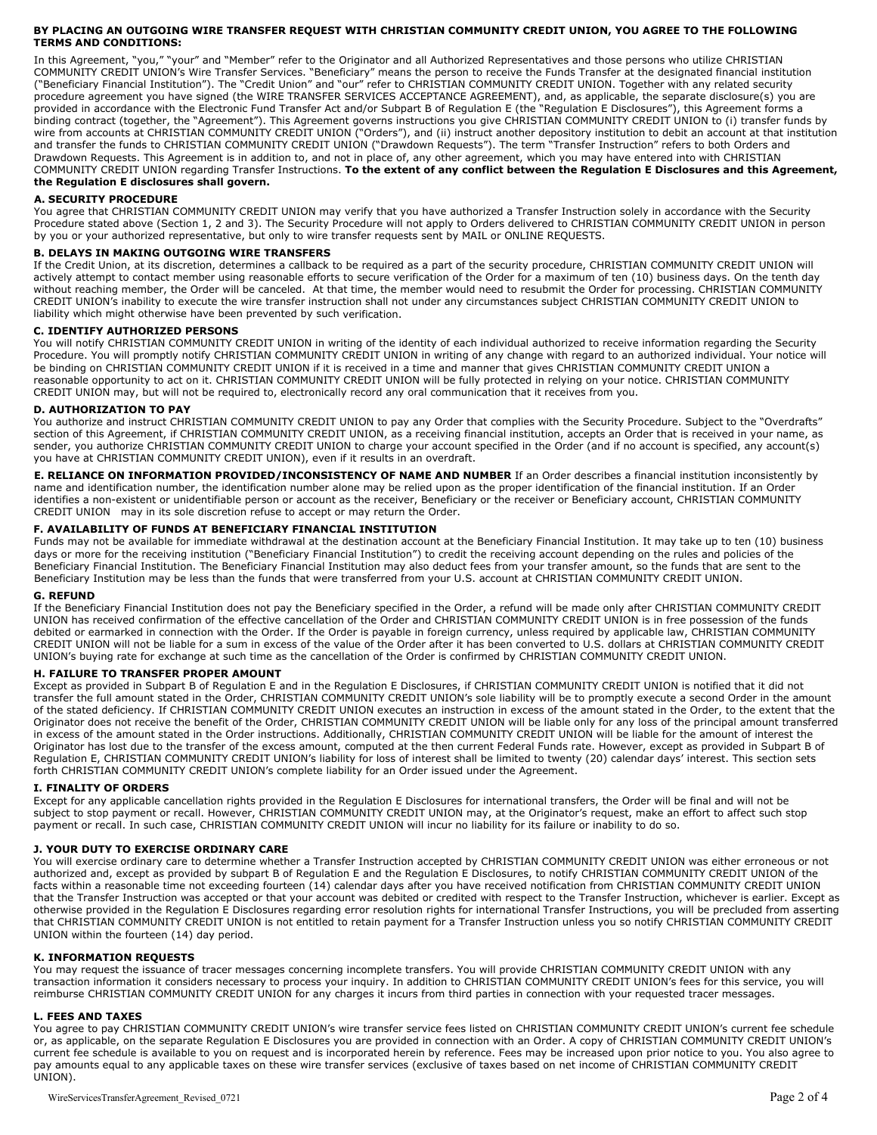### **BY PLACING AN OUTGOING WIRE TRANSFER REQUEST WITH CHRISTIAN COMMUNITY CREDIT UNION, YOU AGREE TO THE FOLLOWING TERMS AND CONDITIONS:**

In this Agreement, "you," "your" and "Member" refer to the Originator and all Authorized Representatives and those persons who utilize CHRISTIAN COMMUNITY CREDIT UNION's Wire Transfer Services. "Beneficiary" means the person to receive the Funds Transfer at the designated financial institution ("Beneficiary Financial Institution"). The "Credit Union" and "our" refer to CHRISTIAN COMMUNITY CREDIT UNION. Together with any related security procedure agreement you have signed (the WIRE TRANSFER SERVICES ACCEPTANCE AGREEMENT), and, as applicable, the separate disclosure(s) you are provided in accordance with the Electronic Fund Transfer Act and/or Subpart B of Regulation E (the "Regulation E Disclosures"), this Agreement forms a binding contract (together, the "Agreement"). This Agreement governs instructions you give CHRISTIAN COMMUNITY CREDIT UNION to (i) transfer funds by wire from accounts at CHRISTIAN COMMUNITY CREDIT UNION ("Orders"), and (ii) instruct another depository institution to debit an account at that institution and transfer the funds to CHRISTIAN COMMUNITY CREDIT UNION ("Drawdown Requests"). The term "Transfer Instruction" refers to both Orders and Drawdown Requests. This Agreement is in addition to, and not in place of, any other agreement, which you may have entered into with CHRISTIAN COMMUNITY CREDIT UNION regarding Transfer Instructions. **To the extent of any conflict between the Regulation E Disclosures and this Agreement, the Regulation E disclosures shall govern.**

# **A. SECURITY PROCEDURE**

You agree that CHRISTIAN COMMUNITY CREDIT UNION may verify that you have authorized a Transfer Instruction solely in accordance with the Security Procedure stated above (Section 1, 2 and 3). The Security Procedure will not apply to Orders delivered to CHRISTIAN COMMUNITY CREDIT UNION in person by you or your authorized representative, but only to wire transfer requests sent by MAIL or ONLINE REQUESTS.

### **B. DELAYS IN MAKING OUTGOING WIRE TRANSFERS**

If the Credit Union, at its discretion, determines a callback to be required as a part of the security procedure, CHRISTIAN COMMUNITY CREDIT UNION will actively attempt to contact member using reasonable efforts to secure verification of the Order for a maximum of ten (10) business days. On the tenth day without reaching member, the Order will be canceled. At that time, the member would need to resubmit the Order for processing. CHRISTIAN COMMUNITY CREDIT UNION's inability to execute the wire transfer instruction shall not under any circumstances subject CHRISTIAN COMMUNITY CREDIT UNION to liability which might otherwise have been prevented by such verification.

# **C. IDENTIFY AUTHORIZED PERSONS**

You will notify CHRISTIAN COMMUNITY CREDIT UNION in writing of the identity of each individual authorized to receive information regarding the Security Procedure. You will promptly notify CHRISTIAN COMMUNITY CREDIT UNION in writing of any change with regard to an authorized individual. Your notice will be binding on CHRISTIAN COMMUNITY CREDIT UNION if it is received in a time and manner that gives CHRISTIAN COMMUNITY CREDIT UNION a reasonable opportunity to act on it. CHRISTIAN COMMUNITY CREDIT UNION will be fully protected in relying on your notice. CHRISTIAN COMMUNITY CREDIT UNION may, but will not be required to, electronically record any oral communication that it receives from you.

# **D. AUTHORIZATION TO PAY**

You authorize and instruct CHRISTIAN COMMUNITY CREDIT UNION to pay any Order that complies with the Security Procedure. Subject to the "Overdrafts" section of this Agreement, if CHRISTIAN COMMUNITY CREDIT UNION, as a receiving financial institution, accepts an Order that is received in your name, as sender, you authorize CHRISTIAN COMMUNITY CREDIT UNION to charge your account specified in the Order (and if no account is specified, any account(s) you have at CHRISTIAN COMMUNITY CREDIT UNION), even if it results in an overdraft.

**E. RELIANCE ON INFORMATION PROVIDED/INCONSISTENCY OF NAME AND NUMBER** If an Order describes a financial institution inconsistently by name and identification number, the identification number alone may be relied upon as the proper identification of the financial institution. If an Order identifies a non-existent or unidentifiable person or account as the receiver, Beneficiary or the receiver or Beneficiary account, CHRISTIAN COMMUNITY CREDIT UNION may in its sole discretion refuse to accept or may return the Order.

### **F. AVAILABILITY OF FUNDS AT BENEFICIARY FINANCIAL INSTITUTION**

Funds may not be available for immediate withdrawal at the destination account at the Beneficiary Financial Institution. It may take up to ten (10) business days or more for the receiving institution ("Beneficiary Financial Institution") to credit the receiving account depending on the rules and policies of the Beneficiary Financial Institution. The Beneficiary Financial Institution may also deduct fees from your transfer amount, so the funds that are sent to the Beneficiary Institution may be less than the funds that were transferred from your U.S. account at CHRISTIAN COMMUNITY CREDIT UNION.

# **G. REFUND**

If the Beneficiary Financial Institution does not pay the Beneficiary specified in the Order, a refund will be made only after CHRISTIAN COMMUNITY CREDIT UNION has received confirmation of the effective cancellation of the Order and CHRISTIAN COMMUNITY CREDIT UNION is in free possession of the funds debited or earmarked in connection with the Order. If the Order is payable in foreign currency, unless required by applicable law, CHRISTIAN COMMUNITY CREDIT UNION will not be liable for a sum in excess of the value of the Order after it has been converted to U.S. dollars at CHRISTIAN COMMUNITY CREDIT UNION's buying rate for exchange at such time as the cancellation of the Order is confirmed by CHRISTIAN COMMUNITY CREDIT UNION.

#### **H. FAILURE TO TRANSFER PROPER AMOUNT**

Except as provided in Subpart B of Regulation E and in the Regulation E Disclosures, if CHRISTIAN COMMUNITY CREDIT UNION is notified that it did not transfer the full amount stated in the Order, CHRISTIAN COMMUNITY CREDIT UNION's sole liability will be to promptly execute a second Order in the amount of the stated deficiency. If CHRISTIAN COMMUNITY CREDIT UNION executes an instruction in excess of the amount stated in the Order, to the extent that the Originator does not receive the benefit of the Order, CHRISTIAN COMMUNITY CREDIT UNION will be liable only for any loss of the principal amount transferred in excess of the amount stated in the Order instructions. Additionally, CHRISTIAN COMMUNITY CREDIT UNION will be liable for the amount of interest the Originator has lost due to the transfer of the excess amount, computed at the then current Federal Funds rate. However, except as provided in Subpart B of Regulation E, CHRISTIAN COMMUNITY CREDIT UNION's liability for loss of interest shall be limited to twenty (20) calendar days' interest. This section sets forth CHRISTIAN COMMUNITY CREDIT UNION's complete liability for an Order issued under the Agreement.

# **I. FINALITY OF ORDERS**

Except for any applicable cancellation rights provided in the Regulation E Disclosures for international transfers, the Order will be final and will not be subject to stop payment or recall. However, CHRISTIAN COMMUNITY CREDIT UNION may, at the Originator's request, make an effort to affect such stop payment or recall. In such case, CHRISTIAN COMMUNITY CREDIT UNION will incur no liability for its failure or inability to do so.

# **J. YOUR DUTY TO EXERCISE ORDINARY CARE**

You will exercise ordinary care to determine whether a Transfer Instruction accepted by CHRISTIAN COMMUNITY CREDIT UNION was either erroneous or not authorized and, except as provided by subpart B of Regulation E and the Regulation E Disclosures, to notify CHRISTIAN COMMUNITY CREDIT UNION of the facts within a reasonable time not exceeding fourteen (14) calendar days after you have received notification from CHRISTIAN COMMUNITY CREDIT UNION that the Transfer Instruction was accepted or that your account was debited or credited with respect to the Transfer Instruction, whichever is earlier. Except as otherwise provided in the Regulation E Disclosures regarding error resolution rights for international Transfer Instructions, you will be precluded from asserting that CHRISTIAN COMMUNITY CREDIT UNION is not entitled to retain payment for a Transfer Instruction unless you so notify CHRISTIAN COMMUNITY CREDIT UNION within the fourteen (14) day period.

#### **K. INFORMATION REQUESTS**

You may request the issuance of tracer messages concerning incomplete transfers. You will provide CHRISTIAN COMMUNITY CREDIT UNION with any transaction information it considers necessary to process your inquiry. In addition to CHRISTIAN COMMUNITY CREDIT UNION's fees for this service, you will reimburse CHRISTIAN COMMUNITY CREDIT UNION for any charges it incurs from third parties in connection with your requested tracer messages.

### **L. FEES AND TAXES**

You agree to pay CHRISTIAN COMMUNITY CREDIT UNION's wire transfer service fees listed on CHRISTIAN COMMUNITY CREDIT UNION's current fee schedule or, as applicable, on the separate Regulation E Disclosures you are provided in connection with an Order. A copy of CHRISTIAN COMMUNITY CREDIT UNION's current fee schedule is available to you on request and is incorporated herein by reference. Fees may be increased upon prior notice to you. You also agree to pay amounts equal to any applicable taxes on these wire transfer services (exclusive of taxes based on net income of CHRISTIAN COMMUNITY CREDIT UNION).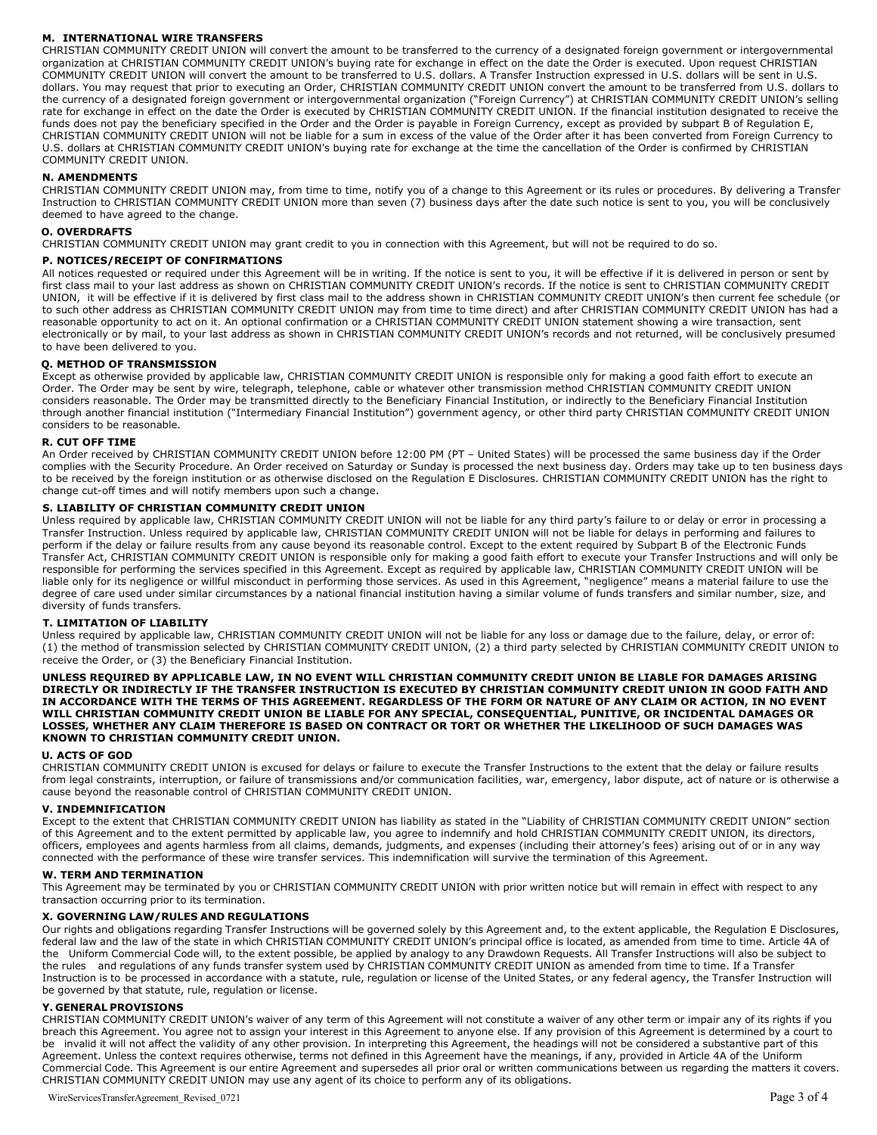# **M. INTERNATIONAL WIRE TRANSFERS**

CHRISTIAN COMMUNITY CREDIT UNION will convert the amount to be transferred to the currency of a designated foreign government or intergovernmental organization at CHRISTIAN COMMUNITY CREDIT UNION's buying rate for exchange in effect on the date the Order is executed. Upon request CHRISTIAN COMMUNITY CREDIT UNION will convert the amount to be transferred to U.S. dollars. A Transfer Instruction expressed in U.S. dollars will be sent in U.S. dollars. You may request that prior to executing an Order, CHRISTIAN COMMUNITY CREDIT UNION convert the amount to be transferred from U.S. dollars to the currency of a designated foreign government or intergovernmental organization ("Foreign Currency") at CHRISTIAN COMMUNITY CREDIT UNION's selling rate for exchange in effect on the date the Order is executed by CHRISTIAN COMMUNITY CREDIT UNION. If the financial institution designated to receive the funds does not pay the beneficiary specified in the Order and the Order is payable in Foreign Currency, except as provided by subpart B of Regulation E, CHRISTIAN COMMUNITY CREDIT UNION will not be liable for a sum in excess of the value of the Order after it has been converted from Foreign Currency to U.S. dollars at CHRISTIAN COMMUNITY CREDIT UNION's buying rate for exchange at the time the cancellation of the Order is confirmed by CHRISTIAN COMMUNITY CREDIT UNION.

### **N. AMENDMENTS**

CHRISTIAN COMMUNITY CREDIT UNION may, from time to time, notify you of a change to this Agreement or its rules or procedures. By delivering a Transfer Instruction to CHRISTIAN COMMUNITY CREDIT UNION more than seven (7) business days after the date such notice is sent to you, you will be conclusively deemed to have agreed to the change.

### **O. OVERDRAFTS**

CHRISTIAN COMMUNITY CREDIT UNION may grant credit to you in connection with this Agreement, but will not be required to do so.

### **P. NOTICES/RECEIPT OF CONFIRMATIONS**

All notices requested or required under this Agreement will be in writing. If the notice is sent to you, it will be effective if it is delivered in person or sent by first class mail to your last address as shown on CHRISTIAN COMMUNITY CREDIT UNION's records. If the notice is sent to CHRISTIAN COMMUNITY CREDIT UNION, it will be effective if it is delivered by first class mail to the address shown in CHRISTIAN COMMUNITY CREDIT UNION's then current fee schedule (or to such other address as CHRISTIAN COMMUNITY CREDIT UNION may from time to time direct) and after CHRISTIAN COMMUNITY CREDIT UNION has had a reasonable opportunity to act on it. An optional confirmation or a CHRISTIAN COMMUNITY CREDIT UNION statement showing a wire transaction, sent electronically or by mail, to your last address as shown in CHRISTIAN COMMUNITY CREDIT UNION's records and not returned, will be conclusively presumed to have been delivered to you.

# **Q. METHOD OF TRANSMISSION**

Except as otherwise provided by applicable law, CHRISTIAN COMMUNITY CREDIT UNION is responsible only for making a good faith effort to execute an Order. The Order may be sent by wire, telegraph, telephone, cable or whatever other transmission method CHRISTIAN COMMUNITY CREDIT UNION considers reasonable. The Order may be transmitted directly to the Beneficiary Financial Institution, or indirectly to the Beneficiary Financial Institution through another financial institution ("Intermediary Financial Institution") government agency, or other third party CHRISTIAN COMMUNITY CREDIT UNION considers to be reasonable.

### **R. CUT OFF TIME**

An Order received by CHRISTIAN COMMUNITY CREDIT UNION before 12:00 PM (PT – United States) will be processed the same business day if the Order complies with the Security Procedure. An Order received on Saturday or Sunday is processed the next business day. Orders may take up to ten business days to be received by the foreign institution or as otherwise disclosed on the Regulation E Disclosures. CHRISTIAN COMMUNITY CREDIT UNION has the right to change cut-off times and will notify members upon such a change.

### **S. LIABILITY OF CHRISTIAN COMMUNITY CREDIT UNION**

Unless required by applicable law, CHRISTIAN COMMUNITY CREDIT UNION will not be liable for any third party's failure to or delay or error in processing a Transfer Instruction. Unless required by applicable law, CHRISTIAN COMMUNITY CREDIT UNION will not be liable for delays in performing and failures to perform if the delay or failure results from any cause beyond its reasonable control. Except to the extent required by Subpart B of the Electronic Funds Transfer Act, CHRISTIAN COMMUNITY CREDIT UNION is responsible only for making a good faith effort to execute your Transfer Instructions and will only be responsible for performing the services specified in this Agreement. Except as required by applicable law, CHRISTIAN COMMUNITY CREDIT UNION will be liable only for its negligence or willful misconduct in performing those services. As used in this Agreement, "negligence" means a material failure to use the degree of care used under similar circumstances by a national financial institution having a similar volume of funds transfers and similar number, size, and diversity of funds transfers.

# **T. LIMITATION OF LIABILITY**

Unless required by applicable law, CHRISTIAN COMMUNITY CREDIT UNION will not be liable for any loss or damage due to the failure, delay, or error of: (1) the method of transmission selected by CHRISTIAN COMMUNITY CREDIT UNION, (2) a third party selected by CHRISTIAN COMMUNITY CREDIT UNION to receive the Order, or (3) the Beneficiary Financial Institution.

**UNLESS REQUIRED BY APPLICABLE LAW, IN NO EVENT WILL CHRISTIAN COMMUNITY CREDIT UNION BE LIABLE FOR DAMAGES ARISING DIRECTLY OR INDIRECTLY IF THE TRANSFER INSTRUCTION IS EXECUTED BY CHRISTIAN COMMUNITY CREDIT UNION IN GOOD FAITH AND IN ACCORDANCE WITH THE TERMS OF THIS AGREEMENT. REGARDLESS OF THE FORM OR NATURE OF ANY CLAIM OR ACTION, IN NO EVENT WILL CHRISTIAN COMMUNITY CREDIT UNION BE LIABLE FOR ANY SPECIAL, CONSEQUENTIAL, PUNITIVE, OR INCIDENTAL DAMAGES OR LOSSES, WHETHER ANY CLAIM THEREFORE IS BASED ON CONTRACT OR TORT OR WHETHER THE LIKELIHOOD OF SUCH DAMAGES WAS KNOWN TO CHRISTIAN COMMUNITY CREDIT UNION.**

#### **U. ACTS OF GOD**

CHRISTIAN COMMUNITY CREDIT UNION is excused for delays or failure to execute the Transfer Instructions to the extent that the delay or failure results from legal constraints, interruption, or failure of transmissions and/or communication facilities, war, emergency, labor dispute, act of nature or is otherwise a cause beyond the reasonable control of CHRISTIAN COMMUNITY CREDIT UNION.

### **V. INDEMNIFICATION**

Except to the extent that CHRISTIAN COMMUNITY CREDIT UNION has liability as stated in the "Liability of CHRISTIAN COMMUNITY CREDIT UNION" section of this Agreement and to the extent permitted by applicable law, you agree to indemnify and hold CHRISTIAN COMMUNITY CREDIT UNION, its directors, officers, employees and agents harmless from all claims, demands, judgments, and expenses (including their attorney's fees) arising out of or in any way connected with the performance of these wire transfer services. This indemnification will survive the termination of this Agreement.

# **W. TERM AND TERMINATION**

This Agreement may be terminated by you or CHRISTIAN COMMUNITY CREDIT UNION with prior written notice but will remain in effect with respect to any transaction occurring prior to its termination.

#### **X. GOVERNING LAW/RULES AND REGULATIONS**

Our rights and obligations regarding Transfer Instructions will be governed solely by this Agreement and, to the extent applicable, the Regulation E Disclosures, federal law and the law of the state in which CHRISTIAN COMMUNITY CREDIT UNION's principal office is located, as amended from time to time. Article 4A of the Uniform Commercial Code will, to the extent possible, be applied by analogy to any Drawdown Requests. All Transfer Instructions will also be subject to the rules and regulations of any funds transfer system used by CHRISTIAN COMMUNITY CREDIT UNION as amended from time to time. If a Transfer Instruction is to be processed in accordance with a statute, rule, regulation or license of the United States, or any federal agency, the Transfer Instruction will be governed by that statute, rule, regulation or license.

# **Y. GENERAL PROVISIONS**

CHRISTIAN COMMUNITY CREDIT UNION's waiver of any term of this Agreement will not constitute a waiver of any other term or impair any of its rights if you breach this Agreement. You agree not to assign your interest in this Agreement to anyone else. If any provision of this Agreement is determined by a court to be invalid it will not affect the validity of any other provision. In interpreting this Agreement, the headings will not be considered a substantive part of this Agreement. Unless the context requires otherwise, terms not defined in this Agreement have the meanings, if any, provided in Article 4A of the Uniform Commercial Code. This Agreement is our entire Agreement and supersedes all prior oral or written communications between us regarding the matters it covers. CHRISTIAN COMMUNITY CREDIT UNION may use any agent of its choice to perform any of its obligations.